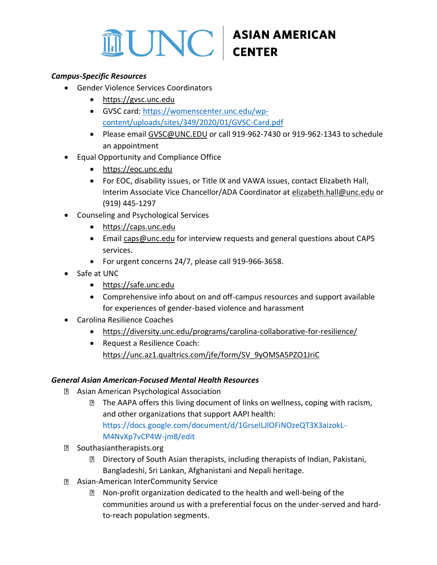# **THE UNC ASIAN AMERICAN**

# *Campus-Specific Resources*

- Gender Violence Services Coordinators
	- [https://gvsc.unc.edu](https://gvsc.unc.edu/)
	- [GVSC card:](https://gvsc.unc.edu/wp-content/uploads/sites/1253/2021/06/GVSC-Card-2021.pdf) [https://womenscenter.unc.edu/wp](https://womenscenter.unc.edu/wp-content/uploads/sites/349/2020/01/GVSC-Card.pdf)[content/uploads/sites/349/2020/01/GVSC-Card.pdf](https://womenscenter.unc.edu/wp-content/uploads/sites/349/2020/01/GVSC-Card.pdf)
	- Please emai[l GVSC@UNC.EDU](mailto:GVSC@UNC.EDU) or call 919-962-7430 or 919-962-1343 to schedule an appointment
- Equal Opportunity and Compliance Office
	- [https://eoc.unc.edu](https://eoc.unc.edu/)
	- For EOC, disability issues, or Title IX and VAWA issues, contact Elizabeth Hall, Interim Associate Vice Chancellor/ADA Coordinator at [elizabeth.hall@unc.edu](mailto:elizabeth.hall@unc.edu) or (919) 445-1297
- Counseling and Psychological Services
	- [https://caps.unc.edu](https://caps.unc.edu/)
	- Email [caps@unc.edu](mailto:caps.unc.edu) for interview requests and general questions about CAPS services.
	- For urgent concerns 24/7, please call 919-966-3658.
- Safe at UNC
	- [https://safe.unc.edu](https://safe.unc.edu/)
	- Comprehensive info about on and off-campus resources and support available for experiences of gender-based violence and harassment
- Carolina Resilience Coaches
	- <https://diversity.unc.edu/programs/carolina-collaborative-for-resilience/>
	- Request a Resilience Coach: [https://unc.az1.qualtrics.com/jfe/form/SV\\_9yOMSA5PZO1JriC](https://unc.az1.qualtrics.com/jfe/form/SV_9yOMSA5PZO1JriC)

### *General Asian American-Focused Mental Health Resources*

- [Asian American Psychological Association](https://aapaonline.org/)
	- **The AAPA offers this [living document](https://docs.google.com/document/d/1GrseILJlOFiNOzeQT3X3aizokL-M4NvXp7vCP4W-jm8/edit) of links on wellness, coping with racism,** and other organizations that support AAPI health: [https://docs.google.com/document/d/1GrseILJlOFiNOzeQT3X3aizokL-](https://docs.google.com/document/d/1GrseILJlOFiNOzeQT3X3aizokL-M4NvXp7vCP4W-jm8/edit)[M4NvXp7vCP4W-jm8/edit](https://docs.google.com/document/d/1GrseILJlOFiNOzeQT3X3aizokL-M4NvXp7vCP4W-jm8/edit)
- **B** [Southasiantherapists.org](https://southasiantherapists.org/)
	- Directory of South Asian therapists, including therapists of Indian, Pakistani, Bangladeshi, Sri Lankan, Afghanistani and Nepali heritage.
- [Asian-American InterCommunity Service](https://www.aicscare.org/)
	- **Non-profit organization dedicated to the health and well-being of the** communities around us with a preferential focus on the under-served and hardto-reach population segments.